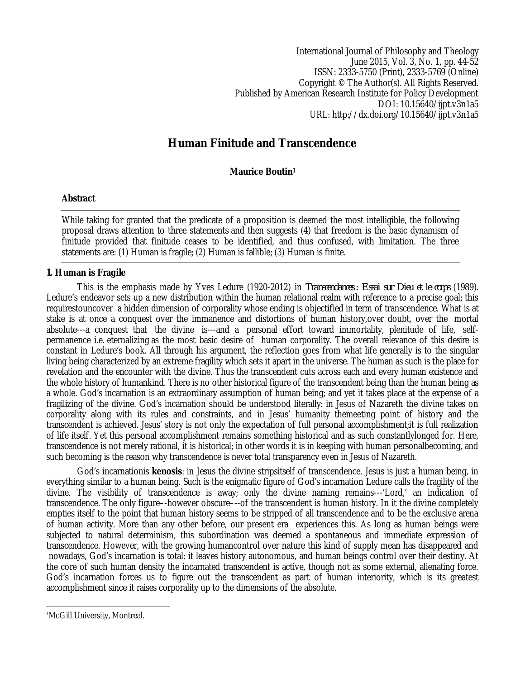International Journal of Philosophy and Theology June 2015, Vol. 3, No. 1, pp. 44-52 ISSN: 2333-5750 (Print), 2333-5769 (Online) Copyright © The Author(s). All Rights Reserved. Published by American Research Institute for Policy Development DOI: 10.15640/ijpt.v3n1a5 URL: http://dx.doi.org/10.15640/ijpt.v3n1a5

# **Human Finitude and Transcendence**

**Maurice Boutin<sup>1</sup>**

#### **Abstract**

While taking for granted that the predicate of a proposition is deemed the most intelligible, the following proposal draws attention to three statements and then suggests (4) that freedom is the basic dynamism of finitude provided that finitude ceases to be identified, and thus confused, with limitation. The three statements are: (1) Human is fragile; (2) Human is fallible; (3) Human is finite.

## **1. Human is Fragile**

This is the emphasis made by Yves Ledure (1920-2012) in *Transcendances : Essai sur Dieu et le corps* (1989). Ledure's endeavor sets up a new distribution within the human relational realm with reference to a precise goal; this requirestouncover a hidden dimension of corporality whose ending is objectified in term of transcendence. What is at stake is at once a conquest over the immanence and distortions of human history,over doubt, over the mortal absolute---a conquest that the divine is---and a personal effort toward immortality, plenitude of life, selfpermanence i.e. eternalizing as the most basic desire of human corporality. The overall relevance of this desire is constant in Ledure's book. All through his argument, the reflection goes from what life generally is to the singular living being characterized by an extreme fragility which sets it apart in the universe. The human as such is the place for revelation and the encounter with the divine. Thus the transcendent cuts across each and every human existence and the whole history of humankind. There is no other historical figure of the transcendent being than the human being as a whole. God's incarnation is an extraordinary assumption of human being; and yet it takes place at the expense of a fragilizing of the divine. God's incarnation should be understood literally: in Jesus of Nazareth the divine takes on corporality along with its rules and constraints, and in Jesus' humanity themeeting point of history and the transcendent is achieved. Jesus' story is not only the expectation of full personal accomplishment;it is full realization of life itself. Yet this personal accomplishment remains something historical and as such constantlylonged for. Here, transcendence is not merely rational, it is historical; in other words it is in keeping with human personalbecoming, and such becoming is the reason why transcendence is never total transparency even in Jesus of Nazareth.

God's incarnationis **kenosis**: in Jesus the divine stripsitself of transcendence. Jesus is just a human being, in everything similar to a human being. Such is the enigmatic figure of God's incarnation Ledure calls the fragility of the divine. The visibility of transcendence is away; only the divine naming remains---'Lord,' an indication of transcendence. The only figure–-however obscure–--of the transcendent is human history. In it the divine completely empties itself to the point that human history seems to be stripped of all transcendence and to be the exclusive arena of human activity. More than any other before, our present era experiences this. As long as human beings were subjected to natural determinism, this subordination was deemed a spontaneous and immediate expression of transcendence. However, with the growing humancontrol over nature this kind of supply mean has disappeared and nowadays, God's incarnation is total: it leaves history autonomous, and human beings control over their destiny. At the core of such human density the incarnated transcendent is active, though not as some external, alienating force. God's incarnation forces us to figure out the transcendent as part of human interiority, which is its greatest accomplishment since it raises corporality up to the dimensions of the absolute.

 $\overline{a}$ <sup>1</sup>McGill University, Montreal.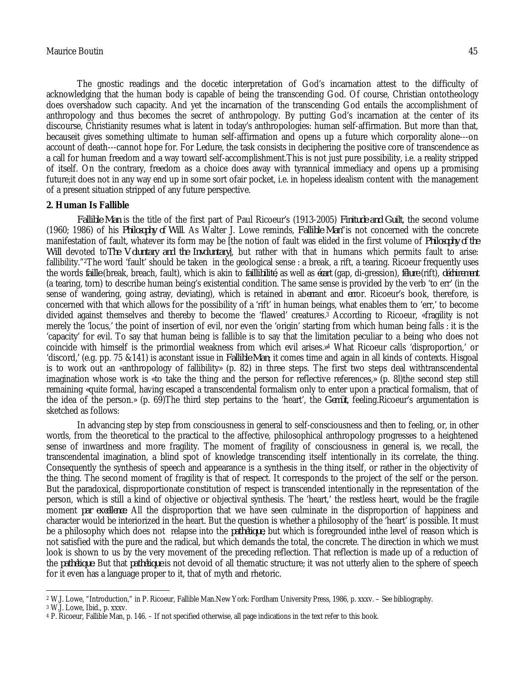The gnostic readings and the docetic interpretation of God's incarnation attest to the difficulty of acknowledging that the human body is capable of being the transcending God. Of course, Christian ontotheology does overshadow such capacity. And yet the incarnation of the transcending God entails the accomplishment of anthropology and thus becomes the secret of anthropology. By putting God's incarnation at the center of its discourse, Christianity resumes what is latent in today's anthropologies: human self-affirmation. But more than that, becauseit gives something ultimate to human self-affirmation and opens up a future which corporality alone---on account of death---cannot hope for. For Ledure, the task consists in deciphering the positive core of transcendence as a call for human freedom and a way toward self-accomplishment.This is not just pure possibility, i.e. a reality stripped of itself. On the contrary, freedom as a choice does away with tyrannical immediacy and opens up a promising future;it does not in any way end up in some sort ofair pocket, i.e. in hopeless idealism content with the management of a present situation stripped of any future perspective.

#### **2. Human Is Fallible**

*Fallible Man* is the title of the first part of Paul Ricoeur's (1913-2005) *Finitude and Guilt*, the second volume (1960; 1986) of his *Philosophy of Will*. As Walter J. Lowe reminds, *Fallible Man*"is not concerned with the concrete manifestation of fault, whatever its form may be [the notion of fault was elided in the first volume of *Philosophy of the Will* devoted to*The Voluntary and the Involuntary*], but rather with that in humans which permits fault to arise: fallibility."<sup>2</sup>The word 'fault' should be taken in the geological sense : a break, a rift, a tearing. Ricoeur frequently uses the words *faille* (break, breach, fault), which is akin to *faillibilité*, as well as *écart* (gap, di-gression), *fêlure* (rift), *déchirement*  (a tearing, torn) to describe human being's existential condition. The same sense is provided by the verb 'to err' (in the sense of wandering, going astray, deviating), which is retained in ab*err*ant and *err*or. Ricoeur's book, therefore, is concerned with that which allows for the possibility of a 'rift' in human beings, what enables them to 'err,' to become divided against themselves and thereby to become the 'flawed' creatures.<sup>3</sup> According to Ricoeur, «fragility is not merely the 'locus,' the point of insertion of evil, nor even the 'origin' starting from which human being falls : it is the 'capacity' for evil. To say that human being is fallible is to say that the limitation peculiar to a being who does not coincide with himself is the primordial weakness from which evil arises.»<sup>4</sup> What Ricoeur calls 'disproportion,' or 'discord,' (e.g. pp. 75 &141) is aconstant issue in *Fallible Man*; it comes time and again in all kinds of contexts. Hisgoal is to work out an «anthropology of fallibility» (p. 82) in three steps. The first two steps deal withtranscendental imagination whose work is «to take the thing and the person for reflective references,» (p. 8l)the second step still remaining «quite formal, having escaped a transcendental formalism only to enter upon a practical formalism, that of the idea of the person.» (p. 69)The third step pertains to the 'heart', the *Gemüt*, feeling.Ricoeur's argumentation is sketched as follows:

In advancing step by step from consciousness in general to self-consciousness and then to feeling, or, in other words, from the theoretical to the practical to the affective, philosophical anthropology progresses to a heightened sense of inwardness and more fragility. The moment of fragility of consciousness in general is, we recall, the transcendental imagination, a blind spot of knowledge transcending itself intentionally in its correlate, the thing. Consequently the synthesis of speech and appearance is a synthesis in the thing itself, or rather in the objectivity of the thing. The second moment of fragility is that of respect. It corresponds to the project of the self or the person. But the paradoxical, disproportionate constitution of respect is transcended intentionally in the representation of the person, which is still a kind of objective or objectival synthesis. The 'heart,' the restless heart, would be the fragile moment *par excellence*. All the disproportion that we have seen culminate in the disproportion of happiness and character would be interiorized in the heart. But the question is whether a philosophy of the 'heart' is possible. It must be a philosophy which does not relapse into the *pathétique*, but which is foregrounded inthe level of reason which is not satisfied with the pure and the radical, but which demands the total, the concrete. The direction in which we must look is shown to us by the very movement of the preceding reflection. That reflection is made up of a reduction of the *pathétique*. But that *pathétique* is not devoid of all thematic structure; it was not utterly alien to the sphere of speech for it even has a language proper to it, that of myth and rhetoric.

 $\overline{a}$ <sup>2</sup> W.J. Lowe, "Introduction," in P. Ricoeur, Fallible Man.New York: Fordham University Press, 1986, p. xxxv. – See bibliography.

<sup>3</sup> W.J. Lowe, Ibid., p. xxxv.

<sup>4</sup> P. Ricoeur, Fallible Man, p. 146. – If not specified otherwise, all page indications in the text refer to this book.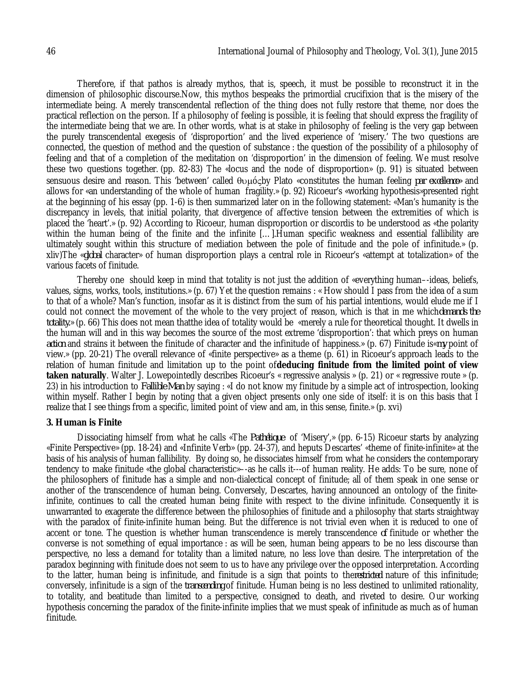Therefore, if that pathos is already mythos, that is, speech, it must be possible to reconstruct it in the dimension of philosophic discourse.Now, this mythos bespeaks the primordial crucifixion that is the misery of the intermediate being. A merely transcendental reflection of the thing does not fully restore that theme, nor does the practical reflection on the person. If a philosophy of feeling is possible, it is feeling that should express the fragility of the intermediate being that we are. In other words, what is at stake in philosophy of feeling is the very gap between the purely transcendental exegesis of 'disproportion' and the lived experience of 'misery.' The two questions are connected, the question of method and the question of substance : the question of the possibility of a philosophy of feeling and that of a completion of the meditation on 'disproportion' in the dimension of feeling. We must resolve these two questions together. (pp. 82-83) The «locus and the node of disproportion» (p. 91) is situated between sensuous desire and reason. This 'between' called  $\theta$  buoch Plato «constitutes the human feeling *par excellence»* and allows for «an understanding of the whole of human fragility.» (p. 92) Ricoeur's «working hypothesis»presented right at the beginning of his essay (pp. 1-6) is then summarized later on in the following statement: «Man's humanity is the discrepancy in levels, that initial polarity, that divergence of affective tension between the extremities of which is placed the 'heart'.» (p. 92) According to Ricoeur, human disproportion or discordis to be understood as «the polarity within the human being of the finite and the infinite [...]. Human specific weakness and essential fallibility are ultimately sought within this structure of mediation between the pole of finitude and the pole of infinitude.» (p. xliv)The «*global* character» of human disproportion plays a central role in Ricoeur's «attempt at totalization» of the various facets of finitude.

Thereby one should keep in mind that totality is not just the addition of «everything human–-ideas, beliefs, values, signs, works, tools, institutions.» (p. 67) Yet the question remains : « How should I pass from the idea of a sum to that of a whole? Man's function, insofar as it is distinct from the sum of his partial intentions, would elude me if I could not connect the movement of the whole to the very project of reason, which is that in me which*demands the totality.*» (p. 66) This does not mean thatthe idea of totality would be «merely a rule for theoretical thought. It dwells in the human will and in this way becomes the source of the most extreme 'disproportion': that which preys on human *action* and strains it between the finitude of character and the infinitude of happiness.» (p. 67) Finitude is«*my* point of view.» (pp. 20-21) The overall relevance of «finite perspective» as a theme (p. 61) in Ricoeur's approach leads to the relation of human finitude and limitation up to the point of**deducing finitude from the limited point of view taken naturally**. Walter J. Lowepointedly describes Ricoeur's « regressive analysis » (p. 21) or « regressive route » (p. 23) in his introduction to *Fallible Man* by saying : «I do not know my finitude by a simple act of introspection, looking within myself. Rather I begin by noting that a given object presents only one side of itself: it is on this basis that I realize that I see things from a specific, limited point of view and am, in this sense, finite.» (p. xvi)

#### **3. Human is Finite**

Dissociating himself from what he calls «The *Pathétique* of 'Misery',» (pp. 6-15) Ricoeur starts by analyzing «Finite Perspective» (pp. 18-24) and «Infinite Verb» (pp. 24-37), and heputs Descartes' «theme of finite-infinite» at the basis of his analysis of human fallibility. By doing so, he dissociates himself from what he considers the contemporary tendency to make finitude «the global characteristic»–-as he calls it---of human reality. He adds: To be sure, none of the philosophers of finitude has a simple and non-dialectical concept of finitude; all of them speak in one sense or another of the transcendence of human being. Conversely, Descartes, having announced an ontology of the finiteinfinite, continues to call the created human being finite with respect to the divine infinitude. Consequently it is unwarranted to exagerate the difference between the philosophies of finitude and a philosophy that starts straightway with the paradox of finite-infinite human being. But the difference is not trivial even when it is reduced to one of accent or tone. The question is whether human transcendence is merely transcendence *of* finitude or whether the converse is not something of equal importance : as will be seen, human being appears to be no less discourse than perspective, no less a demand for totality than a limited nature, no less love than desire. The interpretation of the paradox beginning with finitude does not seem to us to have any privilege over the opposed interpretation. According to the latter, human being is infinitude, and finitude is a sign that points to the*restricted* nature of this infinitude; conversely, infinitude is a sign of the *transcending* of finitude. Human being is no less destined to unlimited rationality, to totality, and beatitude than limited to a perspective, consigned to death, and riveted to desire. Our working hypothesis concerning the paradox of the finite-infinite implies that we must speak of infinitude as much as of human finitude.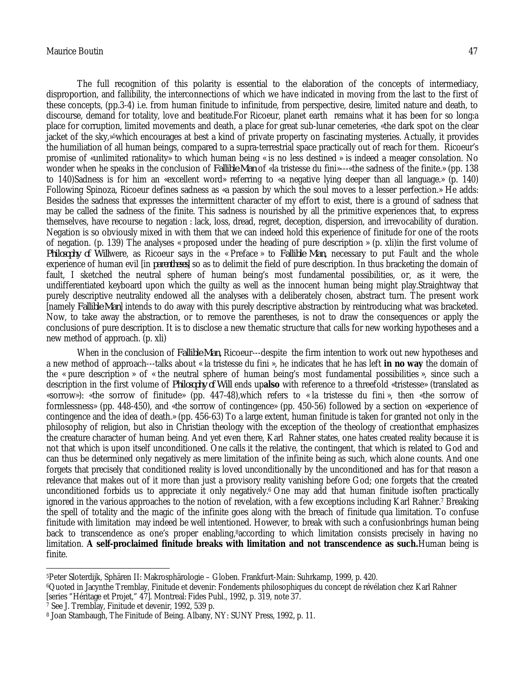# Maurice Boutin 47

The full recognition of this polarity is essential to the elaboration of the concepts of intermediacy, disproportion, and fallibility, the interconnections of which we have indicated in moving from the last to the first of these concepts, (pp.3-4) i.e. from human finitude to infinitude, from perspective, desire, limited nature and death, to discourse, demand for totality, love and beatitude.For Ricoeur, planet earth remains what it has been for so long:a place for corruption, limited movements and death, a place for great sub-lunar cemeteries, «the dark spot on the clear jacket of the sky,»<sup>5</sup>which encourages at best a kind of private property on fascinating mysteries. Actually, it provides the humiliation of all human beings, compared to a supra-terrestrial space practically out of reach for them. Ricoeur's promise of «unlimited rationality» to which human being « is no less destined » is indeed a meager consolation. No wonder when he speaks in the conclusion of *Fallible Man* of «la tristesse du fini»---«the sadness of the finite.» (pp. 138 to 140)Sadness is for him an «excellent word» referring to «a negative lying deeper than all language.» (p. 140) Following Spinoza, Ricoeur defines sadness as «a passion by which the soul moves to a lesser perfection.» He adds: Besides the sadness that expresses the intermittent character of my effort to exist, there is a ground of sadness that may be called the sadness of the finite. This sadness is nourished by all the primitive experiences that, to express themselves, have recourse to negation : lack, loss, dread, regret, deception, dispersion, and irrevocability of duration. Negation is so obviously mixed in with them that we can indeed hold this experience of finitude for one of the roots of negation. (p. 139) The analyses « proposed under the heading of pure description » (p. xli)in the first volume of *Philosophy of Will*were, as Ricoeur says in the « Preface » to *Fallible Man,* necessary to put Fault and the whole experience of human evil [in *parentheses*] so as to delimit the field of pure description. In thus bracketing the domain of fault, I sketched the neutral sphere of human being's most fundamental possibilities, or, as it were, the undifferentiated keyboard upon which the guilty as well as the innocent human being might play.Straightway that purely descriptive neutrality endowed all the analyses with a deliberately chosen, abstract turn. The present work [namely *Fallible Man*] intends to do away with this purely descriptive abstraction by reintroducing what was bracketed. Now, to take away the abstraction, or to remove the parentheses, is not to draw the consequences or apply the conclusions of pure description. It is to disclose a new thematic structure that calls for new working hypotheses and a new method of approach. (p. xli)

When in the conclusion of *Fallible Man,* Ricoeur---despite the firm intention to work out new hypotheses and a new method of approach---talks about « la tristesse du fini », he indicates that he has left **in no way** the domain of the « pure description » of « the neutral sphere of human being's most fundamental possibilities », since such a description in the first volume of *Philosophy of Will* ends up**also** with reference to a threefold «tristesse» (translated as «sorrow»): «the sorrow of finitude» (pp. 447-48),which refers to « la tristesse du fini », then «the sorrow of formlessness» (pp. 448-450), and «the sorrow of contingence» (pp. 450-56) followed by a section on «experience of contingence and the idea of death.» (pp. 456-63) To a large extent, human finitude is taken for granted not only in the philosophy of religion, but also in Christian theology with the exception of the theology of creationthat emphasizes the creature character of human being. And yet even there, Karl Rahner states, one hates created reality because it is not that which is upon itself unconditioned. One calls it the relative, the contingent, that which is related to God and can thus be determined only negatively as mere limitation of the infinite being as such, which alone counts. And one forgets that precisely that conditioned reality is loved unconditionally by the unconditioned and has for that reason a relevance that makes out of it more than just a provisory reality vanishing before God; one forgets that the created unconditioned forbids us to appreciate it only negatively.<sup>6</sup> One may add that human finitude isoften practically ignored in the various approaches to the notion of revelation, with a few exceptions including Karl Rahner.<sup>7</sup> Breaking the spell of totality and the magic of the infinite goes along with the breach of finitude qua limitation. To confuse finitude with limitation may indeed be well intentioned. However, to break with such a confusionbrings human being back to transcendence as one's proper enabling,8according to which limitation consists precisely in having no limitation. **A self-proclaimed finitude breaks with limitation and not transcendence as such.**Human being is finite.

 $\overline{a}$ <sup>5</sup>Peter Sloterdijk, Sphären II: Makrosphärologie – Globen. Frankfurt-Main: Suhrkamp, 1999, p. 420.

<sup>6</sup>Quoted in Jacynthe Tremblay, Finitude et devenir: Fondements philosophiques du concept de révélation chez Karl Rahner [series "Héritage et Projet," 47]. Montreal: Fides Publ., 1992, p. 319, note 37.

<sup>7</sup> See J. Tremblay, Finitude et devenir, 1992, 539 p.

<sup>8</sup> Joan Stambaugh, The Finitude of Being. Albany, NY: SUNY Press, 1992, p. 11.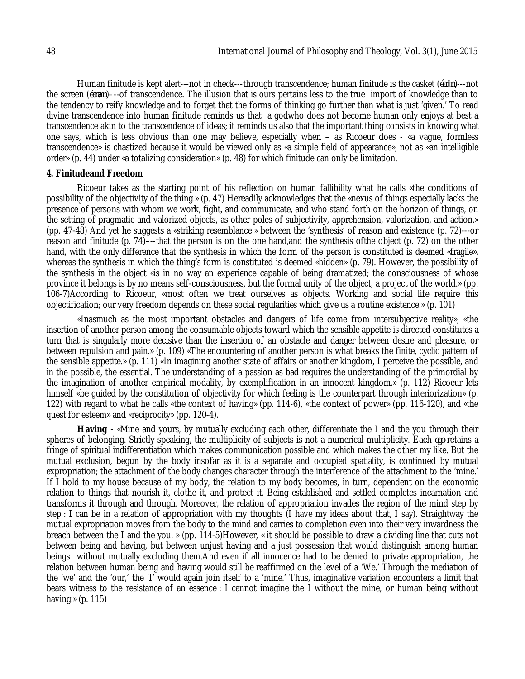Human finitude is kept alert---not in check---through transcendence; human finitude is the casket (*écrin*)---not the screen (*écran*)–--of transcendence. The illusion that is ours pertains less to the true import of knowledge than to the tendency to reify knowledge and to forget that the forms of thinking go further than what is just 'given.' To read divine transcendence into human finitude reminds us that a godwho does not become human only enjoys at best a transcendence akin to the transcendence of ideas; it reminds us also that the important thing consists in knowing what one says, which is less obvious than one may believe, especially when – as Ricoeur does - «a vague, formless transcendence» is chastized because it would be viewed only as «a simple field of appearance», not as «an intelligible order» (p. 44) under «a totalizing consideration» (p. 48) for which finitude can only be limitation.

## **4. Finitudeand Freedom**

Ricoeur takes as the starting point of his reflection on human fallibility what he calls «the conditions of possibility of the objectivity of the thing.» (p. 47) Hereadily acknowledges that the «nexus of things especially lacks the presence of persons with whom we work, fight, and communicate, and who stand forth on the horizon of things, on the setting of pragmatic and valorized objects, as other poles of subjectivity, apprehension, valorization, and action.» (pp. 47-48) And yet he suggests a «striking resemblance » between the 'synthesis' of reason and existence (p. 72)---or reason and finitude (p. 74)–--that the person is on the one hand,and the synthesis ofthe object (p. 72) on the other hand, with the only difference that the synthesis in which the form of the person is constituted is deemed «fragile», whereas the synthesis in which the thing's form is constituted is deemed «hidden» (p. 79). However, the possibility of the synthesis in the object «is in no way an experience capable of being dramatized; the consciousness of whose province it belongs is by no means self-consciousness, but the formal unity of the object, a project of the world.» (pp. 106-7)According to Ricoeur, «most often we treat ourselves as objects. Working and social life require this objectification; our very freedom depends on these social regularities which give us a routine existence.» (p. 101)

«Inasmuch as the most important obstacles and dangers of life come from intersubjective reality», «the insertion of another person among the consumable objects toward which the sensible appetite is directed constitutes a turn that is singularly more decisive than the insertion of an obstacle and danger between desire and pleasure, or between repulsion and pain.» (p. 109) «The encountering of another person is what breaks the finite, cyclic pattern of the sensible appetite.» (p. 111) «In imagining another state of affairs or another kingdom, I perceive the possible, and in the possible, the essential. The understanding of a passion as bad requires the understanding of the primordial by the imagination of another empirical modality, by exemplification in an innocent kingdom.» (p. 112) Ricoeur lets himself «be guided by the constitution of objectivity for which feeling is the counterpart through interiorization» (p. 122) with regard to what he calls «the context of having» (pp. 114-6), «the context of power» (pp. 116-120), and «the quest for esteem» and «reciprocity» (pp. 120-4).

**Having -** «Mine and yours, by mutually excluding each other, differentiate the I and the you through their spheres of belonging. Strictly speaking, the multiplicity of subjects is not a numerical multiplicity. Each *ego* retains a fringe of spiritual indifferentiation which makes communication possible and which makes the other my like. But the mutual exclusion, begun by the body insofar as it is a separate and occupied spatiality, is continued by mutual expropriation; the attachment of the body changes character through the interference of the attachment to the 'mine.' If I hold to my house because of my body, the relation to my body becomes, in turn, dependent on the economic relation to things that nourish it, clothe it, and protect it. Being established and settled completes incarnation and transforms it through and through. Moreover, the relation of appropriation invades the region of the mind step by step : I can be in a relation of appropriation with my thoughts (I have my ideas about that, I say). Straightway the mutual expropriation moves from the body to the mind and carries to completion even into their very inwardness the breach between the I and the you. » (pp. 114-5)However, « it should be possible to draw a dividing line that cuts not between being and having, but between unjust having and a just possession that would distinguish among human beings without mutually excluding them.And even if all innocence had to be denied to private appropriation, the relation between human being and having would still be reaffirmed on the level of a 'We.' Through the mediation of the 'we' and the 'our,' the 'I' would again join itself to a 'mine.' Thus, imaginative variation encounters a limit that bears witness to the resistance of an essence : I cannot imagine the I without the mine, or human being without having.» (p. 115)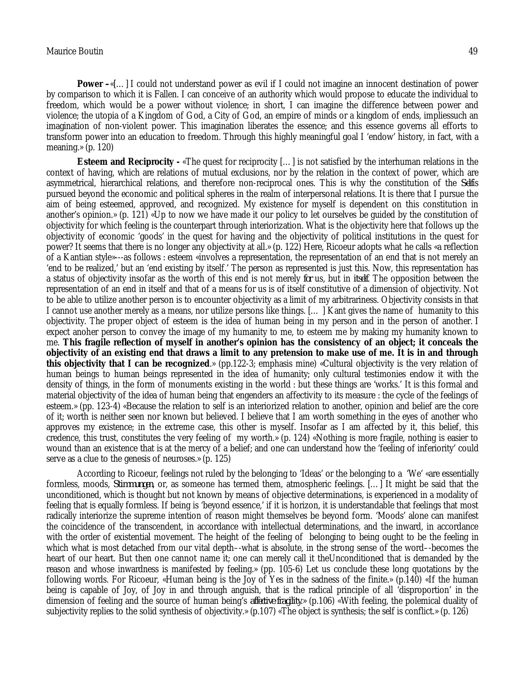**Power –**«[…] I could not understand power as evil if I could not imagine an innocent destination of power by comparison to which it is Fallen. I can conceive of an authority which would propose to educate the individual to freedom, which would be a power without violence; in short, I can imagine the difference between power and violence; the utopia of a Kingdom of God, a City of God, an empire of minds or a kingdom of ends, impliessuch an imagination of non-violent power. This imagination liberates the essence; and this essence governs all efforts to transform power into an education to freedom. Through this highly meaningful goal I 'endow' history, in fact, with a meaning.» (p. 120)

**Esteem and Reciprocity -** «The quest for reciprocity [...] is not satisfied by the interhuman relations in the context of having, which are relations of mutual exclusions, nor by the relation in the context of power, which are asymmetrical, hierarchical relations, and therefore non-reciprocal ones. This is why the constitution of the *Self*is pursued beyond the economic and political spheres in the realm of interpersonal relations. It is there that I pursue the aim of being esteemed, approved, and recognized. My existence for myself is dependent on this constitution in another's opinion.» (p. 121) «Up to now we have made it our policy to let ourselves be guided by the constitution of objectivity for which feeling is the counterpart through interiorization. What is the objectivity here that follows up the objectivity of economic 'goods' in the quest for having and the objectivity of political institutions in the quest for power? It seems that there is no longer any objectivity at all.» (p. 122) Here, Ricoeur adopts what he calls «a reflection of a Kantian style»---as follows : esteem «involves a representation, the representation of an end that is not merely an 'end to be realized,' but an 'end existing by itself.' The person as represented is just this. Now, this representation has a status of objectivity insofar as the worth of this end is not merely *for* us, but in *itself*. The opposition between the representation of an end in itself and that of a means for us is of itself constitutive of a dimension of objectivity. Not to be able to utilize another person is to encounter objectivity as a limit of my arbitrariness. Objectivity consists in that I cannot use another merely as a means, nor utilize persons like things. [… ] Kant gives the name of humanity to this objectivity. The proper object of esteem is the idea of human being in my person and in the person of another. I expect anoher person to convey the image of my humanity to me, to esteem me by making my humanity known to me. **This fragile reflection of myself in another's opinion has the consistency of an object; it conceals the objectivity of an existing end that draws a limit to any pretension to make use of me. It is in and through this objectivity that I can be recognized**.» (pp.122-3; emphasis mine) «Cultural objectivity is the very relation of human beings to human beings represented in the idea of humanity; only cultural testimonies endow it with the density of things, in the form of monuments existing in the world : but these things are 'works.' It is this formal and material objectivity of the idea of human being that engenders an affectivity to its measure : the cycle of the feelings of esteem.» (pp. 123-4) «Because the relation to self is an interiorized relation to another, opinion and belief are the core of it; worth is neither seen nor known but believed. I believe that I am worth something in the eyes of another who approves my existence; in the extreme case, this other is myself. Insofar as I am affected by it, this belief, this credence, this trust, constitutes the very feeling of my worth.» (p. 124) «Nothing is more fragile, nothing is easier to wound than an existence that is at the mercy of a belief; and one can understand how the 'feeling of inferiority' could serve as a clue to the genesis of neuroses.» (p. 125)

According to Ricoeur, feelings not ruled by the belonging to 'Ideas' or the belonging to a 'We' «are essentially formless, moods, *Stimmungen*, or, as someone has termed them, atmospheric feelings. […] It might be said that the unconditioned, which is thought but not known by means of objective determinations, is experienced in a modality of feeling that is equally formless. If being is 'beyond essence,' if it is horizon, it is understandable that feelings that most radically interiorize the supreme intention of reason might themselves be beyond form. 'Moods' alone can manifest the coincidence of the transcendent, in accordance with intellectual determinations, and the inward, in accordance with the order of existential movement. The height of the feeling of belonging to being ought to be the feeling in which what is most detached from our vital depth–-what is absolute, in the strong sense of the word–-becomes the heart of our heart. But then one cannot name it; one can merely call it theUnconditioned that is demanded by the reason and whose inwardness is manifested by feeling.» (pp. 105-6) Let us conclude these long quotations by the following words. For Ricoeur, «Human being is the Joy of Yes in the sadness of the finite.» (p.140) «If the human being is capable of Joy, of Joy in and through anguish, that is the radical principle of all 'disproportion' in the dimension of feeling and the source of human being's *affective fragility*.» (p.106) «With feeling, the polemical duality of subjectivity replies to the solid synthesis of objectivity.» (p.107) «The object is synthesis; the self is conflict.» (p. 126)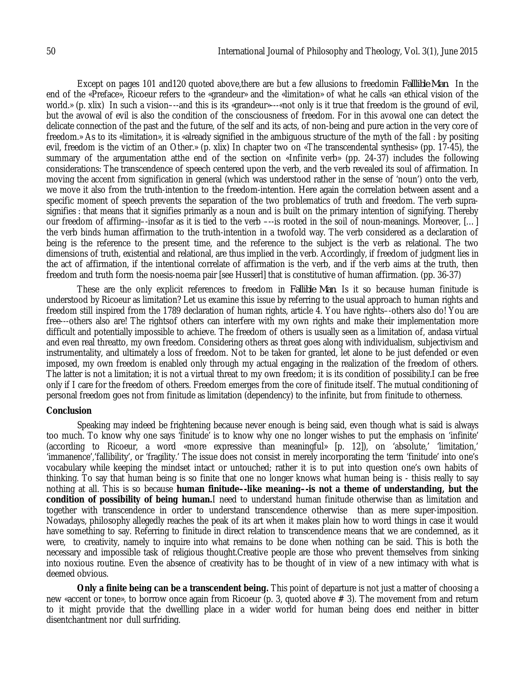Except on pages 101 and120 quoted above,there are but a few allusions to freedomin *Falllible Man*. In the end of the «Preface», Ricoeur refers to the «grandeur» and the «limitation» of what he calls «an ethical vision of the world.» (p. xlix) In such a vision—-and this is its «grandeur»—-«not only is it true that freedom is the ground of evil, but the avowal of evil is also the condition of the consciousness of freedom. For in this avowal one can detect the delicate connection of the past and the future, of the self and its acts, of non-being and pure action in the very core of freedom.» As to its «limitation», it is «already signified in the ambiguous structure of the myth of the fall : by positing evil, freedom is the victim of an Other.» (p. xlix) In chapter two on «The transcendental synthesis» (pp. 17-45), the summary of the argumentation atthe end of the section on «Infinite verb» (pp. 24-37) includes the following considerations: The transcendence of speech centered upon the verb, and the verb revealed its soul of affirmation. In moving the accent from signification in general (which was understood rather in the sense of 'noun') onto the verb, we move it also from the truth-intention to the freedom-intention. Here again the correlation between assent and a specific moment of speech prevents the separation of the two problematics of truth and freedom. The verb suprasignifies : that means that it signifies primarily as a noun and is built on the primary intention of signifying. Thereby our freedom of affirming–-insofar as it is tied to the verb –--is rooted in the soil of noun-meanings. Moreover, […] the verb binds human affirmation to the truth-intention in a twofold way. The verb considered as a declaration of being is the reference to the present time, and the reference to the subject is the verb as relational. The two dimensions of truth, existential and relational, are thus implied in the verb. Accordingly, if freedom of judgment lies in the act of affirmation, if the intentional correlate of affirmation is the verb, and if the verb aims at the truth, then freedom and truth form the noesis-noema pair [see Husserl] that is constitutive of human affirmation. (pp. 36-37)

These are the only explicit references to freedom in *Fallible Man*. Is it so because human finitude is understood by Ricoeur as limitation? Let us examine this issue by referring to the usual approach to human rights and freedom still inspired from the 1789 declaration of human rights, article 4. You have rights–-others also do! You are free---others also are! The rightsof others can interfere with my own rights and make their implementation more difficult and potentially impossible to achieve. The freedom of others is usually seen as a limitation of, andasa virtual and even real threatto, my own freedom. Considering others as threat goes along with individualism, subjectivism and instrumentality, and ultimately a loss of freedom. Not to be taken for granted, let alone to be just defended or even imposed, my own freedom is enabled only through my actual engaging in the realization of the freedom of others. The latter is not a limitation; it is not a virtual threat to my own freedom; it is its condition of possibility.I can be free only if I care for the freedom of others. Freedom emerges from the core of finitude itself. The mutual conditioning of personal freedom goes not from finitude as limitation (dependency) to the infinite, but from finitude to otherness.

#### **Conclusion**

Speaking may indeed be frightening because never enough is being said, even though what is said is always too much. To know why one says 'finitude' is to know why one no longer wishes to put the emphasis on 'infinite' (according to Ricoeur, a word «more expressive than meaningful» [p. 12]), on 'absolute,' 'limitation,' 'immanence','fallibility', or 'fragility.' The issue does not consist in merely incorporating the term 'finitude' into one's vocabulary while keeping the mindset intact or untouched; rather it is to put into question one's own habits of thinking. To say that human being is so finite that one no longer knows what human being is - thisis really to say nothing at all. This is so because **human finitude–-like meaning–-is not a theme of understanding, but the condition of possibility of being human.**I need to understand human finitude otherwise than as limitation and together with transcendence in order to understand transcendence otherwise than as mere super-imposition. Nowadays, philosophy allegedly reaches the peak of its art when it makes plain how to word things in case it would have something to say. Referring to finitude in direct relation to transcendence means that we are condemned, as it were, to creativity, namely to inquire into what remains to be done when nothing can be said. This is both the necessary and impossible task of religious thought.Creative people are those who prevent themselves from sinking into noxious routine. Even the absence of creativity has to be thought of in view of a new intimacy with what is deemed obvious.

**Only a finite being can be a transcendent being.** This point of departure is not just a matter of choosing a new «accent or tone», to borrow once again from Ricoeur (p. 3, quoted above # 3). The movement from and return to it might provide that the dwellling place in a wider world for human being does end neither in bitter disentchantment nor dull surfriding.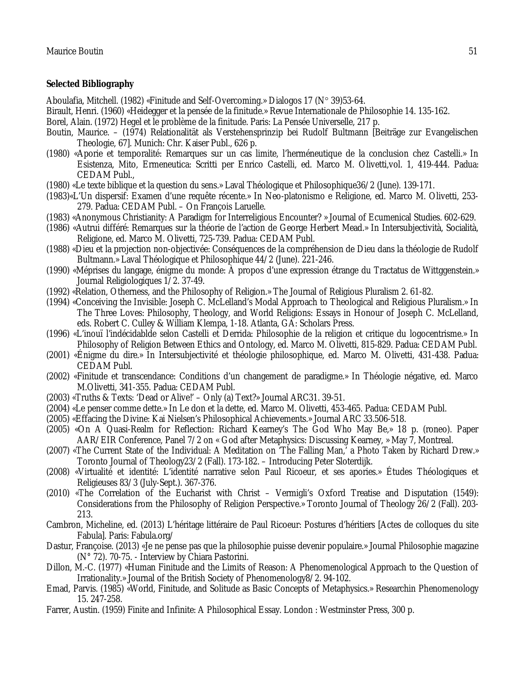## **Selected Bibliography**

Aboulafia, Mitchell. (1982) «Finitude and Self-Overcoming.» Dialogos 17 (N° 39)53-64.

- Birault, Henri. (1960) «Heidegger et la pensée de la finitude.» Revue Internationale de Philosophie 14. 135-162.
- Borel, Alain. (1972) Hegel et le problème de la finitude. Paris: La Pensée Universelle, 217 p.
- Boutin, Maurice. (1974) Relationalität als Verstehensprinzip bei Rudolf Bultmann [Beiträge zur Evangelischen Theologie, 67]. Munich: Chr. Kaiser Publ., 626 p.
- (1980) «Aporie et temporalité: Remarques sur un cas limite, l'herméneutique de la conclusion chez Castelli.» In Esistenza, Mito, Ermeneutica: Scritti per Enrico Castelli, ed. Marco M. Olivetti,vol. 1, 419-444. Padua: CEDAM Publ.,
- (1980) «Le texte biblique et la question du sens.» Laval Théologique et Philosophique36/2 (June). 139-171.
- (1983)«L'Un dispersif: Examen d'une requête récente.» In Neo-platonismo e Religione, ed. Marco M. Olivetti, 253- 279. Padua: CEDAM Publ. – On François Laruelle.
- (1983) «Anonymous Christianity: A Paradigm for Interreligious Encounter? » Journal of Ecumenical Studies. 602-629.
- (1986) «Autrui différé: Remarques sur la théorie de l'action de George Herbert Mead.» In Intersubjectività, Socialità, Religione, ed. Marco M. Olivetti, 725-739. Padua: CEDAM Publ.
- (1988) «Dieu et la projection non-objectivée: Conséquences de la compréhension de Dieu dans la théologie de Rudolf Bultmann.» Laval Théologique et Philosophique 44/2 (June). 221-246.
- (1990) «Méprises du langage, énigme du monde: À propos d'une expression étrange du Tractatus de Wittggenstein.» Journal Religiologiques 1/2. 37-49.
- (1992) «Relation, Otherness, and the Philosophy of Religion.» The Journal of Religious Pluralism 2. 61-82.
- (1994) «Conceiving the Invisible: Joseph C. McLelland's Modal Approach to Theological and Religious Pluralism.» In The Three Loves: Philosophy, Theology, and World Religions: Essays in Honour of Joseph C. McLelland, eds. Robert C. Culley & William Klempa, 1-18. Atlanta, GA: Scholars Press.
- (1996) «L'inouï l'indécidablde selon Castelli et Derrida: Philosophie de la religion et critique du logocentrisme.» In Philosophy of Religion Between Ethics and Ontology, ed. Marco M. Olivetti, 815-829. Padua: CEDAM Publ.
- (2001) «Énigme du dire.» In Intersubjectivité et théologie philosophique, ed. Marco M. Olivetti, 431-438. Padua: CEDAM Publ.
- (2002) «Finitude et transcendance: Conditions d'un changement de paradigme.» In Théologie négative, ed. Marco M.Olivetti, 341-355. Padua: CEDAM Publ.
- (2003) «Truths & Texts: 'Dead or Alive!' Only (a) Text?» Journal ARC31. 39-51.
- (2004) «Le penser comme dette.» In Le don et la dette, ed. Marco M. Olivetti, 453-465. Padua: CEDAM Publ.
- (2005) «Effacing the Divine: Kai Nielsen's Philosophical Achievements.» Journal ARC 33.506-518.
- (2005) «On A Quasi-Realm for Reflection: Richard Kearney's The God Who May Be,» 18 p. (roneo). Paper AAR/EIR Conference, Panel 7/2 on « God after Metaphysics: Discussing Kearney, » May 7, Montreal.
- (2007) «The Current State of the Individual: A Meditation on 'The Falling Man,' a Photo Taken by Richard Drew.» Toronto Journal of Theology23/2 (Fall). 173-182. – Introducing Peter Sloterdijk.
- (2008) «Virtualité et identité: L'identité narrative selon Paul Ricoeur, et ses apories.» Études Théologiques et Religieuses 83/3 (July-Sept.). 367-376.
- (2010) «The Correlation of the Eucharist with Christ Vermigli's Oxford Treatise and Disputation (1549): Considerations from the Philosophy of Religion Perspective.» Toronto Journal of Theology 26/2 (Fall). 203- 213.
- Cambron, Micheline, ed. (2013) L'héritage littéraire de Paul Ricoeur: Postures d'héritiers [Actes de colloques du site Fabula]. Paris: Fabula.org/
- Dastur, Françoise. (2013) «Je ne pense pas que la philosophie puisse devenir populaire.» Journal Philosophie magazine (N° 72). 70-75. - Interview by Chiara Pastorini.
- Dillon, M.-C. (1977) «Human Finitude and the Limits of Reason: A Phenomenological Approach to the Question of Irrationality.» Journal of the British Society of Phenomenology8/2. 94-102.
- Emad, Parvis. (1985) «World, Finitude, and Solitude as Basic Concepts of Metaphysics.» Researchin Phenomenology 15. 247-258.
- Farrer, Austin. (1959) Finite and Infinite: A Philosophical Essay. London : Westminster Press, 300 p.